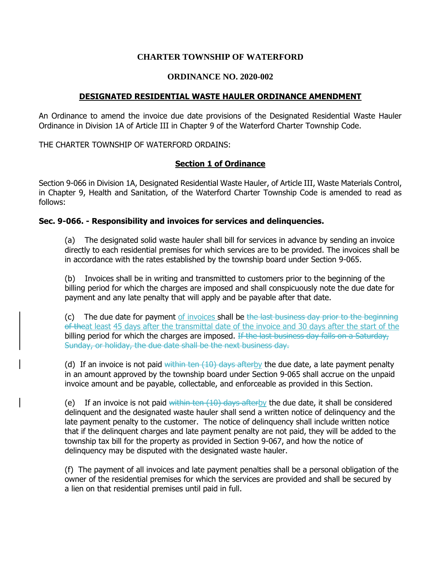## **CHARTER TOWNSHIP OF WATERFORD**

#### **ORDINANCE NO. 2020-002**

## **DESIGNATED RESIDENTIAL WASTE HAULER ORDINANCE AMENDMENT**

An Ordinance to amend the invoice due date provisions of the Designated Residential Waste Hauler Ordinance in Division 1A of Article III in Chapter 9 of the Waterford Charter Township Code.

THE CHARTER TOWNSHIP OF WATERFORD ORDAINS:

## **Section 1 of Ordinance**

Section 9-066 in Division 1A, Designated Residential Waste Hauler, of Article III, Waste Materials Control, in Chapter 9, Health and Sanitation, of the Waterford Charter Township Code is amended to read as follows:

## **Sec. 9-066. - Responsibility and invoices for services and delinquencies.**

(a) The designated solid waste hauler shall bill for services in advance by sending an invoice directly to each residential premises for which services are to be provided. The invoices shall be in accordance with the rates established by the township board under Section 9-065.

(b) Invoices shall be in writing and transmitted to customers prior to the beginning of the billing period for which the charges are imposed and shall conspicuously note the due date for payment and any late penalty that will apply and be payable after that date.

(c) The due date for payment of invoices shall be the last business day prior to the beginning of theat least 45 days after the transmittal date of the invoice and 30 days after the start of the billing period for which the charges are imposed. If the last business day falls on a Saturday, Sunday, or holiday, the due date shall be the next business day.

(d) If an invoice is not paid within ten  $(10)$  days afterby the due date, a late payment penalty in an amount approved by the township board under Section 9-065 shall accrue on the unpaid invoice amount and be payable, collectable, and enforceable as provided in this Section.

(e) If an invoice is not paid within ten  $(10)$  days afterby the due date, it shall be considered delinquent and the designated waste hauler shall send a written notice of delinquency and the late payment penalty to the customer. The notice of delinquency shall include written notice that if the delinquent charges and late payment penalty are not paid, they will be added to the township tax bill for the property as provided in Section 9-067, and how the notice of delinquency may be disputed with the designated waste hauler.

(f) The payment of all invoices and late payment penalties shall be a personal obligation of the owner of the residential premises for which the services are provided and shall be secured by a lien on that residential premises until paid in full.